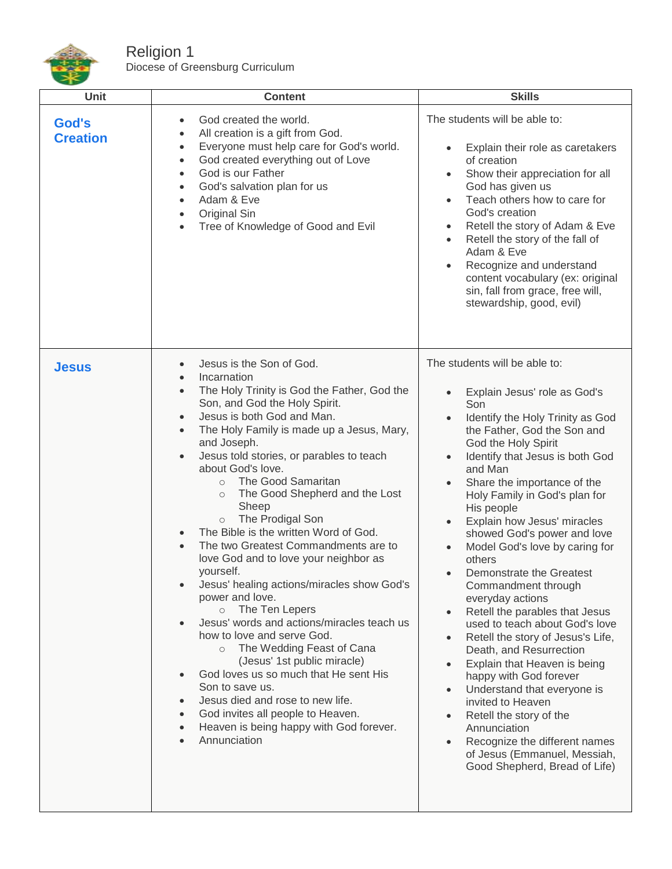

Religion 1 Diocese of Greensburg Curriculum

| Unit                     | <b>Content</b>                                                                                                                                                                                                                                                                                                                                                                                                                                                                                                                                                                                                                                                                                                                                                                                                                                                                                                                                                                                                                                                                                                        | <b>Skills</b>                                                                                                                                                                                                                                                                                                                                                                                                                                                                                                                                                                                                                                                                                                                                                                                                                                                                                                                                                                                                                               |
|--------------------------|-----------------------------------------------------------------------------------------------------------------------------------------------------------------------------------------------------------------------------------------------------------------------------------------------------------------------------------------------------------------------------------------------------------------------------------------------------------------------------------------------------------------------------------------------------------------------------------------------------------------------------------------------------------------------------------------------------------------------------------------------------------------------------------------------------------------------------------------------------------------------------------------------------------------------------------------------------------------------------------------------------------------------------------------------------------------------------------------------------------------------|---------------------------------------------------------------------------------------------------------------------------------------------------------------------------------------------------------------------------------------------------------------------------------------------------------------------------------------------------------------------------------------------------------------------------------------------------------------------------------------------------------------------------------------------------------------------------------------------------------------------------------------------------------------------------------------------------------------------------------------------------------------------------------------------------------------------------------------------------------------------------------------------------------------------------------------------------------------------------------------------------------------------------------------------|
| God's<br><b>Creation</b> | God created the world.<br>$\bullet$<br>All creation is a gift from God.<br>Everyone must help care for God's world.<br>$\bullet$<br>God created everything out of Love<br>$\bullet$<br>God is our Father<br>$\bullet$<br>God's salvation plan for us<br>$\bullet$<br>Adam & Eve<br>Original Sin<br>$\bullet$<br>Tree of Knowledge of Good and Evil                                                                                                                                                                                                                                                                                                                                                                                                                                                                                                                                                                                                                                                                                                                                                                    | The students will be able to:<br>Explain their role as caretakers<br>$\bullet$<br>of creation<br>Show their appreciation for all<br>$\bullet$<br>God has given us<br>Teach others how to care for<br>$\bullet$<br>God's creation<br>Retell the story of Adam & Eve<br>$\bullet$<br>Retell the story of the fall of<br>$\bullet$<br>Adam & Eve<br>Recognize and understand<br>$\bullet$<br>content vocabulary (ex: original<br>sin, fall from grace, free will,<br>stewardship, good, evil)                                                                                                                                                                                                                                                                                                                                                                                                                                                                                                                                                  |
| <b>Jesus</b>             | Jesus is the Son of God.<br>$\bullet$<br>Incarnation<br>The Holy Trinity is God the Father, God the<br>$\bullet$<br>Son, and God the Holy Spirit.<br>Jesus is both God and Man.<br>$\bullet$<br>The Holy Family is made up a Jesus, Mary,<br>$\bullet$<br>and Joseph.<br>Jesus told stories, or parables to teach<br>$\bullet$<br>about God's love.<br>The Good Samaritan<br>$\circ$<br>The Good Shepherd and the Lost<br>$\circ$<br>Sheep<br>The Prodigal Son<br>$\circ$<br>The Bible is the written Word of God.<br>The two Greatest Commandments are to<br>$\bullet$<br>love God and to love your neighbor as<br>yourself.<br>Jesus' healing actions/miracles show God's<br>power and love.<br>The Ten Lepers<br>$\circ$<br>Jesus' words and actions/miracles teach us<br>how to love and serve God.<br>The Wedding Feast of Cana<br>$\circ$<br>(Jesus' 1st public miracle)<br>God loves us so much that He sent His<br>$\bullet$<br>Son to save us.<br>Jesus died and rose to new life.<br>$\bullet$<br>God invites all people to Heaven.<br>$\bullet$<br>Heaven is being happy with God forever.<br>Annunciation | The students will be able to:<br>Explain Jesus' role as God's<br>$\bullet$<br>Son<br>Identify the Holy Trinity as God<br>$\bullet$<br>the Father, God the Son and<br>God the Holy Spirit<br>Identify that Jesus is both God<br>$\bullet$<br>and Man<br>Share the importance of the<br>$\bullet$<br>Holy Family in God's plan for<br>His people<br>Explain how Jesus' miracles<br>$\bullet$<br>showed God's power and love<br>Model God's love by caring for<br>$\bullet$<br>others<br>Demonstrate the Greatest<br>Ċ<br>Commandment through<br>everyday actions<br>Retell the parables that Jesus<br>$\bullet$<br>used to teach about God's love<br>Retell the story of Jesus's Life,<br>$\bullet$<br>Death, and Resurrection<br>Explain that Heaven is being<br>$\bullet$<br>happy with God forever<br>Understand that everyone is<br>$\bullet$<br>invited to Heaven<br>Retell the story of the<br>$\bullet$<br>Annunciation<br>Recognize the different names<br>$\bullet$<br>of Jesus (Emmanuel, Messiah,<br>Good Shepherd, Bread of Life) |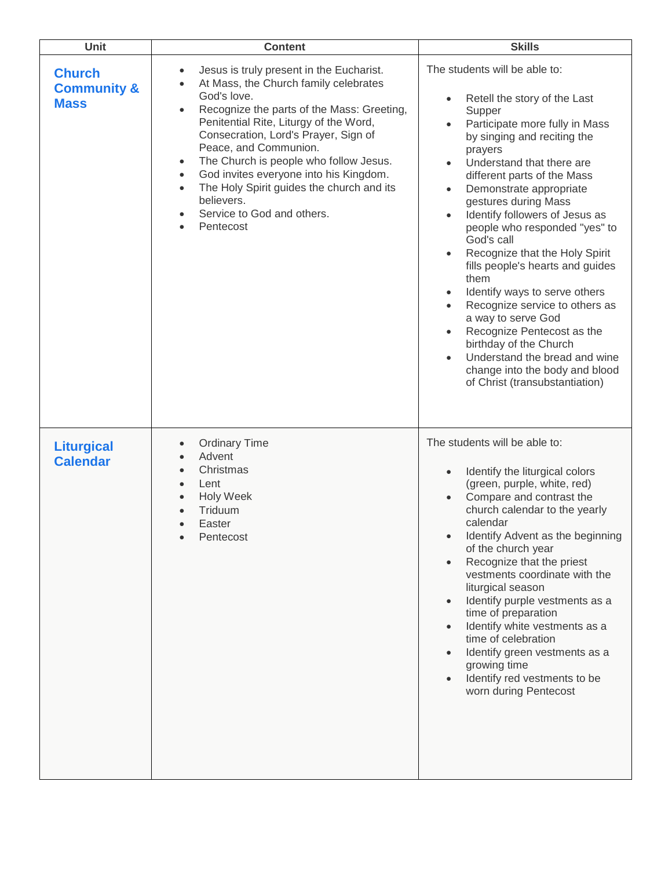| Unit                                                   | <b>Content</b>                                                                                                                                                                                                                                                                                                                                                                                                                                                                                                                    | <b>Skills</b>                                                                                                                                                                                                                                                                                                                                                                                                                                                                                                                                                                                                                                                                                                                                                                      |
|--------------------------------------------------------|-----------------------------------------------------------------------------------------------------------------------------------------------------------------------------------------------------------------------------------------------------------------------------------------------------------------------------------------------------------------------------------------------------------------------------------------------------------------------------------------------------------------------------------|------------------------------------------------------------------------------------------------------------------------------------------------------------------------------------------------------------------------------------------------------------------------------------------------------------------------------------------------------------------------------------------------------------------------------------------------------------------------------------------------------------------------------------------------------------------------------------------------------------------------------------------------------------------------------------------------------------------------------------------------------------------------------------|
| <b>Church</b><br><b>Community &amp;</b><br><b>Mass</b> | Jesus is truly present in the Eucharist.<br>$\bullet$<br>At Mass, the Church family celebrates<br>God's love.<br>Recognize the parts of the Mass: Greeting,<br>$\bullet$<br>Penitential Rite, Liturgy of the Word,<br>Consecration, Lord's Prayer, Sign of<br>Peace, and Communion.<br>The Church is people who follow Jesus.<br>$\bullet$<br>God invites everyone into his Kingdom.<br>$\bullet$<br>The Holy Spirit guides the church and its<br>$\bullet$<br>believers.<br>Service to God and others.<br>Pentecost<br>$\bullet$ | The students will be able to:<br>Retell the story of the Last<br>$\bullet$<br>Supper<br>Participate more fully in Mass<br>by singing and reciting the<br>prayers<br>Understand that there are<br>$\bullet$<br>different parts of the Mass<br>Demonstrate appropriate<br>$\bullet$<br>gestures during Mass<br>Identify followers of Jesus as<br>$\bullet$<br>people who responded "yes" to<br>God's call<br>Recognize that the Holy Spirit<br>$\bullet$<br>fills people's hearts and guides<br>them<br>Identify ways to serve others<br>Recognize service to others as<br>a way to serve God<br>Recognize Pentecost as the<br>$\bullet$<br>birthday of the Church<br>Understand the bread and wine<br>$\bullet$<br>change into the body and blood<br>of Christ (transubstantiation) |
| <b>Liturgical</b><br><b>Calendar</b>                   | <b>Ordinary Time</b><br>Advent<br>Christmas<br>$\bullet$<br>Lent<br><b>Holy Week</b><br>Triduum<br>Easter<br>$\bullet$<br>Pentecost                                                                                                                                                                                                                                                                                                                                                                                               | The students will be able to:<br>Identify the liturgical colors<br>(green, purple, white, red)<br>Compare and contrast the<br>church calendar to the yearly<br>calendar<br>Identify Advent as the beginning<br>of the church year<br>Recognize that the priest<br>vestments coordinate with the<br>liturgical season<br>Identify purple vestments as a<br>$\bullet$<br>time of preparation<br>Identify white vestments as a<br>time of celebration<br>Identify green vestments as a<br>growing time<br>Identify red vestments to be<br>worn during Pentecost                                                                                                                                                                                                                       |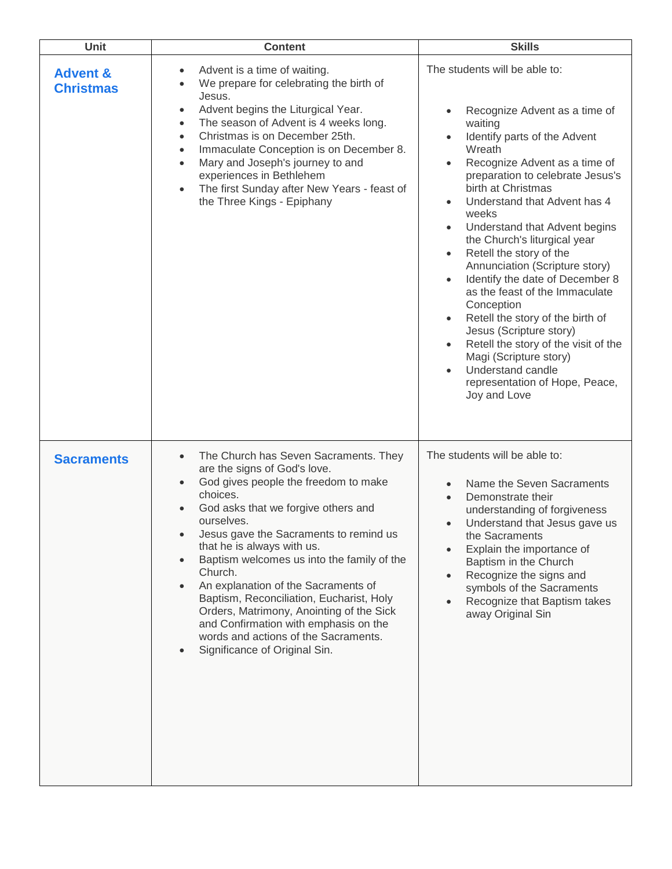| Unit                                    | <b>Content</b>                                                                                                                                                                                                                                                                                                                                                                                                                                                                                                                                                   | <b>Skills</b>                                                                                                                                                                                                                                                                                                                                                                                                                                                                                                                                                                                                                                                                                              |
|-----------------------------------------|------------------------------------------------------------------------------------------------------------------------------------------------------------------------------------------------------------------------------------------------------------------------------------------------------------------------------------------------------------------------------------------------------------------------------------------------------------------------------------------------------------------------------------------------------------------|------------------------------------------------------------------------------------------------------------------------------------------------------------------------------------------------------------------------------------------------------------------------------------------------------------------------------------------------------------------------------------------------------------------------------------------------------------------------------------------------------------------------------------------------------------------------------------------------------------------------------------------------------------------------------------------------------------|
| <b>Advent &amp;</b><br><b>Christmas</b> | Advent is a time of waiting.<br>$\bullet$<br>We prepare for celebrating the birth of<br>Jesus.<br>Advent begins the Liturgical Year.<br>$\bullet$<br>The season of Advent is 4 weeks long.<br>$\bullet$<br>Christmas is on December 25th.<br>$\bullet$<br>Immaculate Conception is on December 8.<br>$\bullet$<br>Mary and Joseph's journey to and<br>$\bullet$<br>experiences in Bethlehem<br>The first Sunday after New Years - feast of<br>$\bullet$<br>the Three Kings - Epiphany                                                                            | The students will be able to:<br>Recognize Advent as a time of<br>waiting<br>Identify parts of the Advent<br>Wreath<br>Recognize Advent as a time of<br>preparation to celebrate Jesus's<br>birth at Christmas<br>Understand that Advent has 4<br>weeks<br>Understand that Advent begins<br>$\bullet$<br>the Church's liturgical year<br>Retell the story of the<br>$\bullet$<br>Annunciation (Scripture story)<br>Identify the date of December 8<br>as the feast of the Immaculate<br>Conception<br>Retell the story of the birth of<br>Jesus (Scripture story)<br>Retell the story of the visit of the<br>Magi (Scripture story)<br>Understand candle<br>representation of Hope, Peace,<br>Joy and Love |
| <b>Sacraments</b>                       | The Church has Seven Sacraments. They<br>are the signs of God's love.<br>God gives people the freedom to make<br>choices.<br>God asks that we forgive others and<br>ourselves.<br>Jesus gave the Sacraments to remind us<br>that he is always with us.<br>Baptism welcomes us into the family of the<br>Church.<br>An explanation of the Sacraments of<br>Baptism, Reconciliation, Eucharist, Holy<br>Orders, Matrimony, Anointing of the Sick<br>and Confirmation with emphasis on the<br>words and actions of the Sacraments.<br>Significance of Original Sin. | The students will be able to:<br>Name the Seven Sacraments<br>Demonstrate their<br>$\bullet$<br>understanding of forgiveness<br>Understand that Jesus gave us<br>the Sacraments<br>Explain the importance of<br>Baptism in the Church<br>Recognize the signs and<br>symbols of the Sacraments<br>Recognize that Baptism takes<br>away Original Sin                                                                                                                                                                                                                                                                                                                                                         |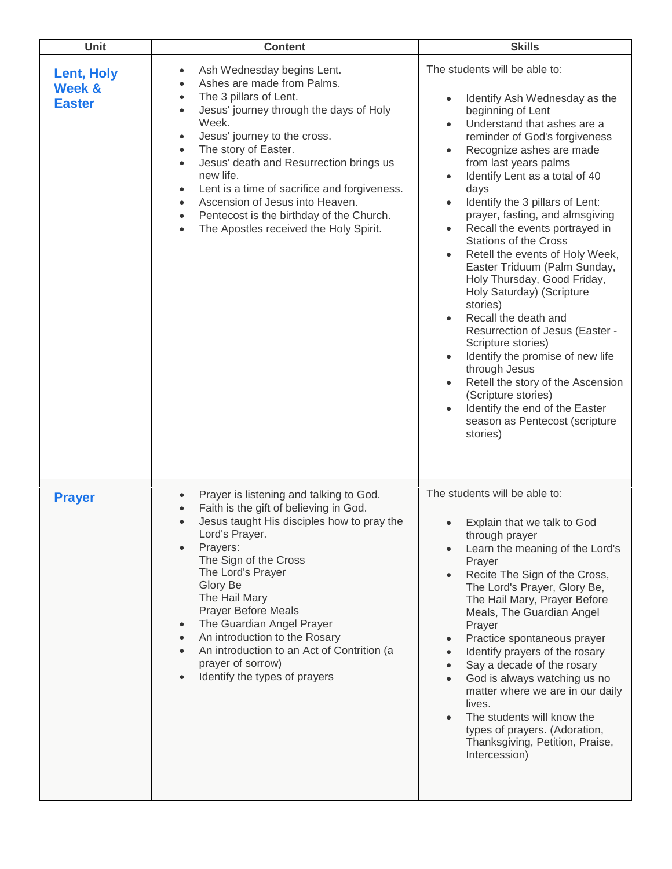| <b>Unit</b>                                             | <b>Content</b>                                                                                                                                                                                                                                                                                                                                                                                                                                                                                                                                                                 | <b>Skills</b>                                                                                                                                                                                                                                                                                                                                                                                                                                                                                                                                                                                                                                                                                                                                                                                                                                                                                                                                |
|---------------------------------------------------------|--------------------------------------------------------------------------------------------------------------------------------------------------------------------------------------------------------------------------------------------------------------------------------------------------------------------------------------------------------------------------------------------------------------------------------------------------------------------------------------------------------------------------------------------------------------------------------|----------------------------------------------------------------------------------------------------------------------------------------------------------------------------------------------------------------------------------------------------------------------------------------------------------------------------------------------------------------------------------------------------------------------------------------------------------------------------------------------------------------------------------------------------------------------------------------------------------------------------------------------------------------------------------------------------------------------------------------------------------------------------------------------------------------------------------------------------------------------------------------------------------------------------------------------|
| <b>Lent, Holy</b><br><b>Week &amp;</b><br><b>Easter</b> | Ash Wednesday begins Lent.<br>$\bullet$<br>Ashes are made from Palms.<br>$\bullet$<br>The 3 pillars of Lent.<br>$\bullet$<br>Jesus' journey through the days of Holy<br>$\bullet$<br>Week.<br>Jesus' journey to the cross.<br>$\bullet$<br>The story of Easter.<br>$\bullet$<br>Jesus' death and Resurrection brings us<br>$\bullet$<br>new life.<br>Lent is a time of sacrifice and forgiveness.<br>$\bullet$<br>Ascension of Jesus into Heaven.<br>$\bullet$<br>Pentecost is the birthday of the Church.<br>$\bullet$<br>The Apostles received the Holy Spirit.<br>$\bullet$ | The students will be able to:<br>Identify Ash Wednesday as the<br>$\bullet$<br>beginning of Lent<br>Understand that ashes are a<br>$\bullet$<br>reminder of God's forgiveness<br>Recognize ashes are made<br>$\bullet$<br>from last years palms<br>Identify Lent as a total of 40<br>$\bullet$<br>days<br>Identify the 3 pillars of Lent:<br>$\bullet$<br>prayer, fasting, and almsgiving<br>Recall the events portrayed in<br>$\bullet$<br><b>Stations of the Cross</b><br>Retell the events of Holy Week,<br>$\bullet$<br>Easter Triduum (Palm Sunday,<br>Holy Thursday, Good Friday,<br>Holy Saturday) (Scripture<br>stories)<br>Recall the death and<br>Resurrection of Jesus (Easter -<br>Scripture stories)<br>Identify the promise of new life<br>$\bullet$<br>through Jesus<br>Retell the story of the Ascension<br>$\bullet$<br>(Scripture stories)<br>Identify the end of the Easter<br>season as Pentecost (scripture<br>stories) |
| <b>Prayer</b>                                           | Prayer is listening and talking to God.<br>Faith is the gift of believing in God.<br>Jesus taught His disciples how to pray the<br>Lord's Prayer.<br>Prayers:<br>The Sign of the Cross<br>The Lord's Prayer<br>Glory Be<br>The Hail Mary<br><b>Prayer Before Meals</b><br>The Guardian Angel Prayer<br>$\bullet$<br>An introduction to the Rosary<br>$\bullet$<br>An introduction to an Act of Contrition (a<br>prayer of sorrow)<br>Identify the types of prayers                                                                                                             | The students will be able to:<br>Explain that we talk to God<br>through prayer<br>Learn the meaning of the Lord's<br>Prayer<br>Recite The Sign of the Cross,<br>The Lord's Prayer, Glory Be,<br>The Hail Mary, Prayer Before<br>Meals, The Guardian Angel<br>Prayer<br>Practice spontaneous prayer<br>$\bullet$<br>Identify prayers of the rosary<br>Say a decade of the rosary<br>God is always watching us no<br>matter where we are in our daily<br>lives.<br>The students will know the<br>$\bullet$<br>types of prayers. (Adoration,<br>Thanksgiving, Petition, Praise,<br>Intercession)                                                                                                                                                                                                                                                                                                                                                |